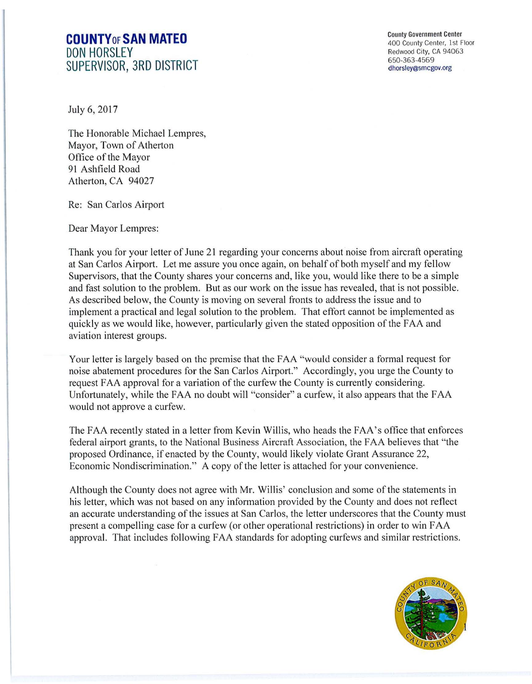## **COUNTYoFSAN MATEO DON HORSLEY SUPERVISOR, 3RD DISTRICT**

County Government Center 400 County Center, 1st Floor Redwood City, CA 94063 650-363-4569 dhorsley@smcgov.org

July 6, 2017

The Honorable Michael Lempres, Mayor, Town of Atherton Office of the Mayor 91 Ashfield Road Atherton, CA 94027

Re: San Carlos Airport

Dear Mayor Lempres:

Thank you for your letter of June 21 regarding your concerns about noise from aircraft operating at San Carlos Airport. Let me assure you once again, on behalf of both myself and my fellow Supervisors, that the County shares your concerns and, like you, would like there to be a simple and fast solution to the problem. But as our work on the issue has revealed, that is not possible. As described below, the County is moving on several fronts to address the issue and to implement a practical and legal solution to the problem. That effort cannot be implemented as quickly as we would like, however, particularly given the stated opposition of the FAA and aviation interest groups.

Your letter is largely based on the premise that the FAA "would consider a formal request for noise abatement procedures for the San Carlos Airport." Accordingly, you urge the County to request FAA approval for a variation of the curfew the County is currently considering. Unfortunately, while the FAA no doubt will "consider" a curfew, it also appears that the FAA would not approve a curfew.

The FAA recently stated in a letter from Kevin Willis, who heads the FAA's office that enforces federal airport grants, to the National Business Aircraft Association, the FAA believes that "the proposed Ordinance, if enacted by the County, would likely violate Grant Assurance 22, Economic Nondiscrimination." A copy of the letter is attached for your convenience.

Although the County does not agree with Mr. Willis' conclusion and some of the statements in his letter, which was not based on any information provided by the County and does not reflect an accurate understanding of the issues at San Carlos, the letter underscores that the County must present a compelling case for a curfew (or other operational restrictions) in order to win FAA approval. That includes following FAA standards for adopting curfews and similar restrictions.

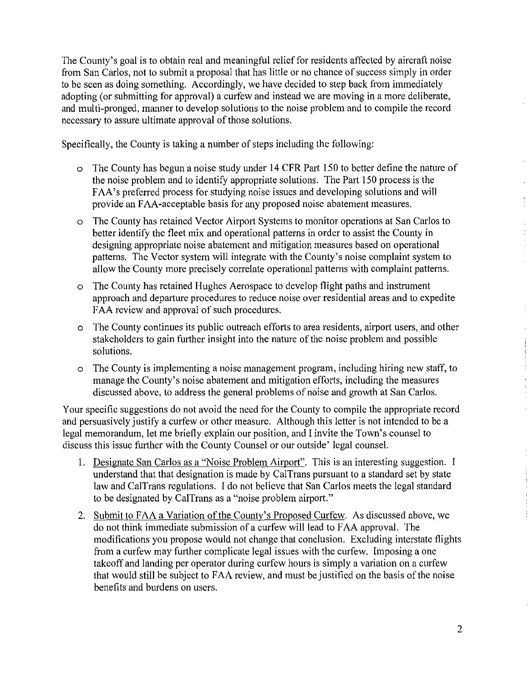The County's goal is to obtain real and meaningful relief for residents affected by aircraft noise from San Carlos, not to submit a proposal that has little or no chance of success simply in order to be seen as doing something. Accordingly, we have decided to step back from immediately adopting (or submitting for approval) a curfew and instead we are moving in a more deliberate, and multi-pronged, manner to develop solutions to the noise problem and to compile the record necessary to assure ultimate approval of those solutions.

Specifically, the County is taking a number of steps including the following:

- o The County has begun a noise study under 14 CFR Part 150 to better define the nature of the noise problem and to identify appropriate solutions. The Part 150 process is the FAA's preferred process for studying noise issues and developing solutions and will provide an FAA-acceptable basis for any proposed noise abatement measures.
- o The County has retained Vector Airport Systems to monitor operations at San Carlos to better identify the fleet mix and operational patterns in order to assist the County in designing appropriate noise abatement and mitigation measures based on operational patterns. The Vector system will integrate with the County's noise complaint system to allow the County more precisely correlate operational patterns with complaint patterns.
- o The County has retained Hughes Aerospace to develop flight paths and instrument approach and departure procedures to reduce noise over residential areas and to expedite FAA review and approval of such procedures.
- o The County continues its public outreach efforts to area residents, airport users, and other stakeholders to gain further insight into the nature of the noise problem and possible solutions.
- o The County is implementing a noise management program, including hiring new staff, to manage the County's noise abatement and mitigation efforts, including the measures discussed above, to address the general problems of noise and growth at San Carlos.

Your specific suggestions do not avoid the need for the County to compile the appropriate record and persuasively justify a curfew or other measure. Although this letter is not intended to be a legal memorandum, let me briefly explain our position, and I invite the Town's counsel to discuss this issue further with the County Counsel or our outside' legal counsel.

- I. Designate San Carlos as a "Noise Problem Airport". This is an interesting suggestion. I understand that that designation is made by CalTrans pursuant to a standard set by state law and CalTrans regulations. I do not believe that San Carlos meets the legal standard to be designated by CalTrans as a "noise problem airport."
- 2. Submit to FAA a Variation of the County's Proposed Curfew. As discussed above, we do not think immediate submission of a curfew will lead to FAA approval. The modifications you propose would not change that conclusion. Excluding interstate flights from a curfew may further complicate legal issues with the curfew. Imposing a one takeoff and landing per operator during curfew hours is simply a variation on a curfew that would still be subject to FAA review, and must be justified on the basis of the noise benefits and burdens on users.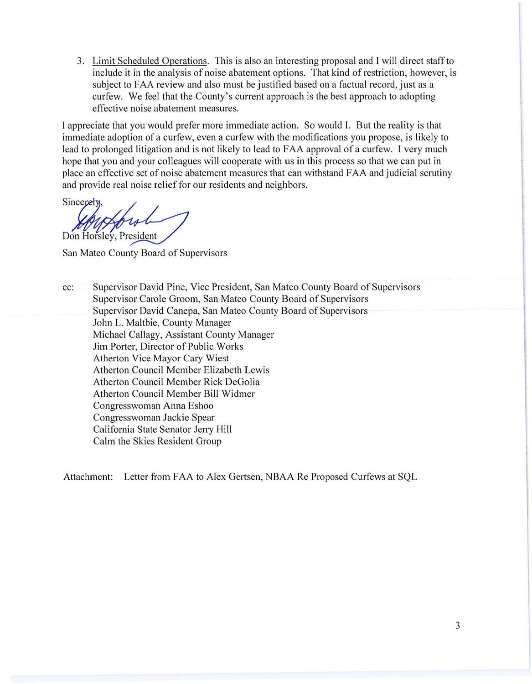3. Limit Scheduled Operations. This is also an interesting proposal and I will direct staff to include it in the analysis of noise abatement options. That kind of restriction, however, is subject to FAA review and also must be justified based on a factual record, just as a curfew. We feel that the County's current approach is the best approach to adopting effective noise abatement measures.

I appreciate that you would prefer more immediate action. So would I. But the reality is that immediate adoption of a curfew, even a curfew with the modifications you propose, is likely to lead to prolonged litigation and is not likely to lead to FAA approval of a curfew. I very much hope that you and your colleagues will cooperate with us in this process so that we can put in place an effective set of noise abatement measures that can withstand FAA and judicial scrutiny and provide real noise relief for our residents and neighbors.

Sincerely Don Horsley, President

San Mateo County Board of Supervisors

cc: Supervisor David Pine, Vice President, San Mateo County Board of Supervisors Supervisor Carole Groom, San Mateo County Board of Supervisors Supervisor David Canepa, San Mateo County Board of Supervisors John L. Maltbie, County Manager Michael Callagy, Assistant County Manager Jim Porter, Director of Public Works Atherton Vice Mayor Cary Wiest Atherton Council Member Elizabeth Lewis Atherton Council Member Rick DeGolia Atherton Council Member Bill Widmer Congresswoman Anna Eshoo Congresswoman Jackie Spear California State Senator Jerry Hill Calm the Skies Resident Group

Attachment: Letter from FAA to Alex Gertsen, NBAA Re Proposed Curfews at SQL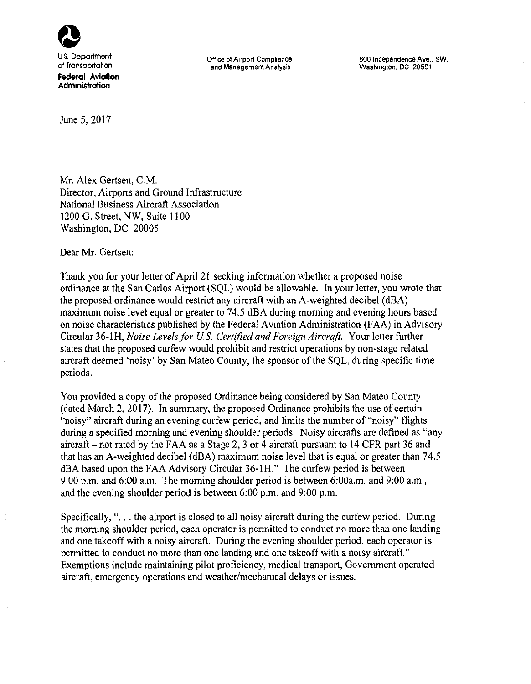

**Office of Airport Compliance and Management Analysis** 

800 Independence Ave., SW. Washington, DC 20591

June 5, 2017

Mr. Alex Gertsen, C.M. Director, Airports and Ground Infrastructure National Business Aircraft Association 1200 G. Street, NW, Suite 1100 Washington, DC 20005

Dear Mr. Gertsen:

Thank you for your letter of April 21 seeking information whether a proposed noise ordinance at the San Carlos Airport (SQL) would be allowable. In your letter, you wrote that the proposed ordinance would restrict any aircraft with an A-weighted decibel (dBA) maximum noise level equal or greater to 74.5 dBA during morning and evening hours based on noise characteristics published by the Federal Aviation Administration (FAA) in Advisory Circular 36-lH, *Noise Levels for* U.S. *Cert/fled and Foreign Aircraft.* Your letter further states that the proposed curfew would prohibit and restrict operations by non-stage related aircraft deemed 'noisy' by San Mateo County, the sponsor of the SQL, during specific time periods.

You provided a copy of the proposed Ordinance being considered by San Mateo County (dated March 2, 2017). In summary, the proposed Ordinance prohibits the use of certain "noisy" aircraft during an evening curfew period, and limits the number of "noisy" flights during a specified morning and evening shoulder periods. Noisy aircrafts arc defined as "any aircraft – not rated by the FAA as a Stage 2, 3 or 4 aircraft pursuant to 14 CFR part 36 and that has an A-weighted decibel (dBA) maximum noise level that is equal or greater than 74.5 dBA based upon the FAA Advisory Circular 36-lH." The curfew period is between 9:00 p.m. and 6:00 a.m. The morning shoulder period is between 6:00a.m. and 9:00 a.m., and the evening shoulder period is between 6:00 p.m. and 9:00 p.m.

Specifically, "... the airport is closed to all noisy aircraft during the curfew period. During the morning shoulder period, each operator is permitted to conduct no more than one landing and one takeoff with a noisy aircraft. During the evening shoulder period, each operator is permitted to conduct no more than one landing and one takeoff with a noisy aircraft." Exemptions include maintaining pilot proficiency, medical transport, Government operated aircraft, emergency operations and weather/mechanical delays or issues.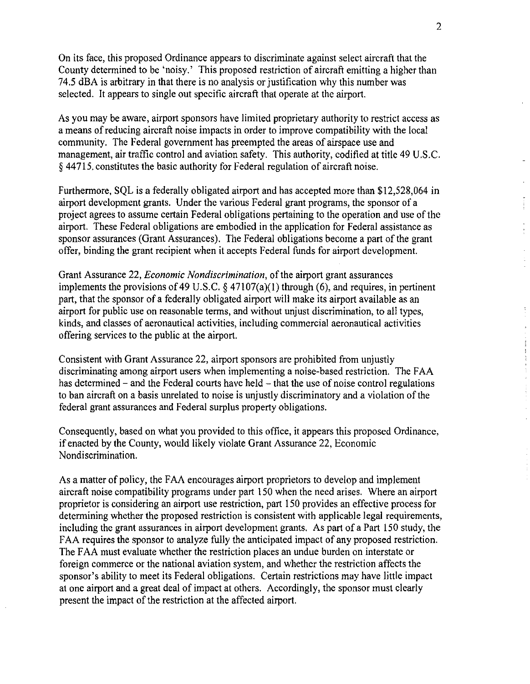On its face, this proposed Ordinance appears to discriminate against select aircraft that the County determined to be 'noisy.' This proposed restriction of aircraft emitting a higher than 74.5 dBA is arbitrary in that there is no analysis or justification why this number was selected. It appears to single out specific aircraft that operate at the airport.

As you may be aware, airport sponsors have limited proprietary authority to restrict access as a means of reducing aircraft noise impacts in order to improve compatibility with the local community. The Federal government has preempted the areas of airspace use and management, air traffic control and aviation safety. This authority, codified at title 49 U.S.C. § 44715, constitutes the basic authority for Federal regulation of aircraft noise.

Furthermore, SQL is a federally obligated airport and has accepted more than \$12,528,064 in airport development grants. Under the various Federal grant programs, the sponsor of a project agrees to assume certain Federal obligations pertaining to the operation and use of the airport. These Federal obligations are embodied in the application for Federal assistance as sponsor assurances (Grant Assurances). The Federal obligations become a part of the grant offer, binding the grant recipient when it accepts Federal funds for airport development.

Grant Assurance 22, *Economic Nondiscrimination,* of the airport grant assurances implements the provisions of 49 U.S.C.  $\S$  47107(a)(1) through (6), and requires, in pertinent part, that the sponsor of a federally obligated airport will make its airport available as an airport for public use on reasonable terms, and without unjust discrimination, to all types, kinds, and classes of aeronautical activities, including commercial aeronautical activities offering services to the public at the airport.

Consistent with Grant Assurance 22, airport sponsors arc prohibited from unjustly discriminating among airport users when implementing a noise-based restriction. The FAA has determined – and the Federal courts have held – that the use of noise control regulations to ban aircraft on a basis unrelated to noise is unjustly discriminatory and a violation of the federal grant assurances and Federal surplus property obligations.

Consequently, based on what you provided to this office, it appears this proposed Ordinance, if enacted by the County, would likely violate Grant Assurance 22, Economic Nondiscrimination.

As a matter of policy, the FAA encourages airport proprietors to develop and implement aircraft noise compatibility programs under part 150 when the need arises. Where an airport proprietor is considering an airport use restriction, part 150 provides an effective process for determining whether the proposed restriction is consistent with applicable legal requirements, including the grant assurances in airport development grants. As part of a Part 150 study, the FAA requires the sponsor to analyze fully the anticipated impact of any proposed restriction. The FAA must evaluate whether the restriction places an undue burden on interstate or foreign commerce or the national aviation system, and whether the restriction affects the sponsor's ability to meet its Federal obligations. Certain restrictions may have little impact at one airport and a great deal of impact at others. Accordingly, the sponsor must clearly present the impact of the restriction at the affected airport.